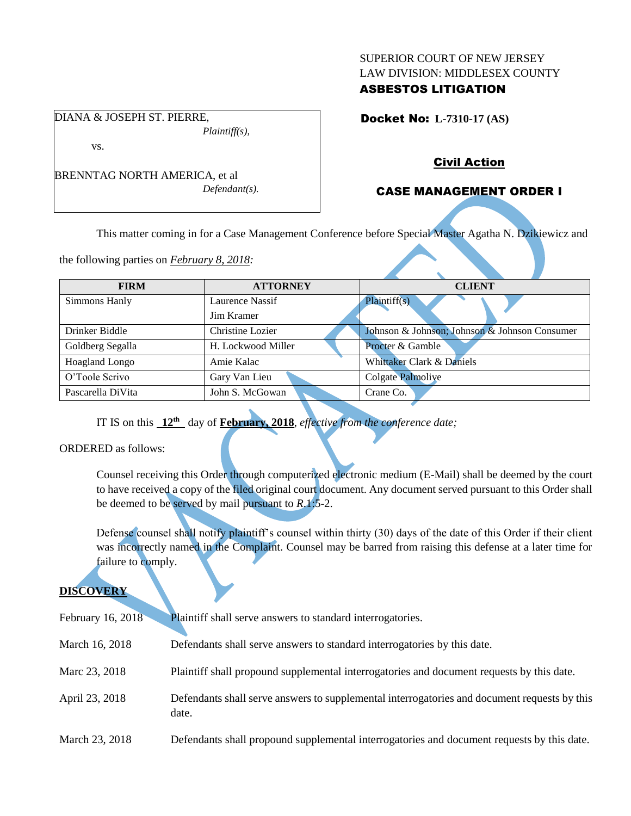#### SUPERIOR COURT OF NEW JERSEY LAW DIVISION: MIDDLESEX COUNTY

## ASBESTOS LITIGATION

Docket No: **L-7310-17 (AS)** 

vs.

DIANA & JOSEPH ST. PIERRE,

BRENNTAG NORTH AMERICA, et al *Defendant(s).*

*Plaintiff(s),*

## Civil Action

## CASE MANAGEMENT ORDER I

This matter coming in for a Case Management Conference before Special Master Agatha N. Dzikiewicz and

the following parties on *February 8, 2018:*

| <b>FIRM</b>       | <b>ATTORNEY</b>    | <b>CLIENT</b>                                 |
|-------------------|--------------------|-----------------------------------------------|
| Simmons Hanly     | Laurence Nassif    | Plaintiff(s)                                  |
|                   | Jim Kramer         |                                               |
| Drinker Biddle    | Christine Lozier   | Johnson & Johnson; Johnson & Johnson Consumer |
| Goldberg Segalla  | H. Lockwood Miller | <b>Procter &amp; Gamble</b>                   |
| Hoagland Longo    | Amie Kalac         | Whittaker Clark & Daniels                     |
| O'Toole Scrivo    | Gary Van Lieu      | Colgate Palmoliye                             |
| Pascarella DiVita | John S. McGowan    | Crane Co.                                     |

IT IS on this **12th** day of **February, 2018**, *effective from the conference date;*

ORDERED as follows:

Counsel receiving this Order through computerized electronic medium (E-Mail) shall be deemed by the court to have received a copy of the filed original court document. Any document served pursuant to this Order shall be deemed to be served by mail pursuant to *R*.1:5-2.

Defense counsel shall notify plaintiff's counsel within thirty (30) days of the date of this Order if their client was incorrectly named in the Complaint. Counsel may be barred from raising this defense at a later time for failure to comply.

# **DISCOVERY**

| February 16, 2018 | Plaintiff shall serve answers to standard interrogatories.                                            |
|-------------------|-------------------------------------------------------------------------------------------------------|
| March 16, 2018    | Defendants shall serve answers to standard interrogatories by this date.                              |
| Marc 23, 2018     | Plaintiff shall propound supplemental interrogatories and document requests by this date.             |
| April 23, 2018    | Defendants shall serve answers to supplemental interrogatories and document requests by this<br>date. |
| March 23, 2018    | Defendants shall propound supplemental interrogatories and document requests by this date.            |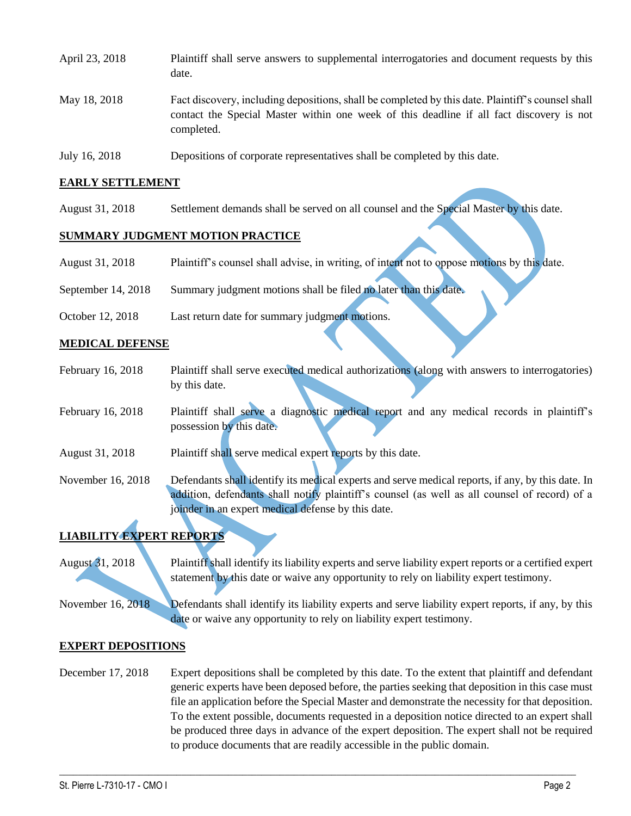| April 23, 2018 | Plaintiff shall serve answers to supplemental interrogatories and document requests by this<br>date.                                                                                                        |
|----------------|-------------------------------------------------------------------------------------------------------------------------------------------------------------------------------------------------------------|
| May 18, 2018   | Fact discovery, including depositions, shall be completed by this date. Plaintiff's counsel shall<br>contact the Special Master within one week of this deadline if all fact discovery is not<br>completed. |

July 16, 2018 Depositions of corporate representatives shall be completed by this date.

## **EARLY SETTLEMENT**

August 31, 2018 Settlement demands shall be served on all counsel and the Special Master by this date.

## **SUMMARY JUDGMENT MOTION PRACTICE**

- August 31, 2018 Plaintiff's counsel shall advise, in writing, of intent not to oppose motions by this date.
- September 14, 2018 Summary judgment motions shall be filed no later than this date.
- October 12, 2018 Last return date for summary judgment motions.

## **MEDICAL DEFENSE**

- February 16, 2018 Plaintiff shall serve executed medical authorizations (along with answers to interrogatories) by this date.
- February 16, 2018 Plaintiff shall serve a diagnostic medical report and any medical records in plaintiff's possession by this date.
- August 31, 2018 Plaintiff shall serve medical expert reports by this date.
- November 16, 2018 Defendants shall identify its medical experts and serve medical reports, if any, by this date. In addition, defendants shall notify plaintiff's counsel (as well as all counsel of record) of a joinder in an expert medical defense by this date.

# **LIABILITY EXPERT REPORTS**

- August 31, 2018 Plaintiff shall identify its liability experts and serve liability expert reports or a certified expert statement by this date or waive any opportunity to rely on liability expert testimony.
- November 16, 2018 Defendants shall identify its liability experts and serve liability expert reports, if any, by this date or waive any opportunity to rely on liability expert testimony.

#### **EXPERT DEPOSITIONS**

December 17, 2018 Expert depositions shall be completed by this date. To the extent that plaintiff and defendant generic experts have been deposed before, the parties seeking that deposition in this case must file an application before the Special Master and demonstrate the necessity for that deposition. To the extent possible, documents requested in a deposition notice directed to an expert shall be produced three days in advance of the expert deposition. The expert shall not be required to produce documents that are readily accessible in the public domain.

 $\_$  ,  $\_$  ,  $\_$  ,  $\_$  ,  $\_$  ,  $\_$  ,  $\_$  ,  $\_$  ,  $\_$  ,  $\_$  ,  $\_$  ,  $\_$  ,  $\_$  ,  $\_$  ,  $\_$  ,  $\_$  ,  $\_$  ,  $\_$  ,  $\_$  ,  $\_$  ,  $\_$  ,  $\_$  ,  $\_$  ,  $\_$  ,  $\_$  ,  $\_$  ,  $\_$  ,  $\_$  ,  $\_$  ,  $\_$  ,  $\_$  ,  $\_$  ,  $\_$  ,  $\_$  ,  $\_$  ,  $\_$  ,  $\_$  ,